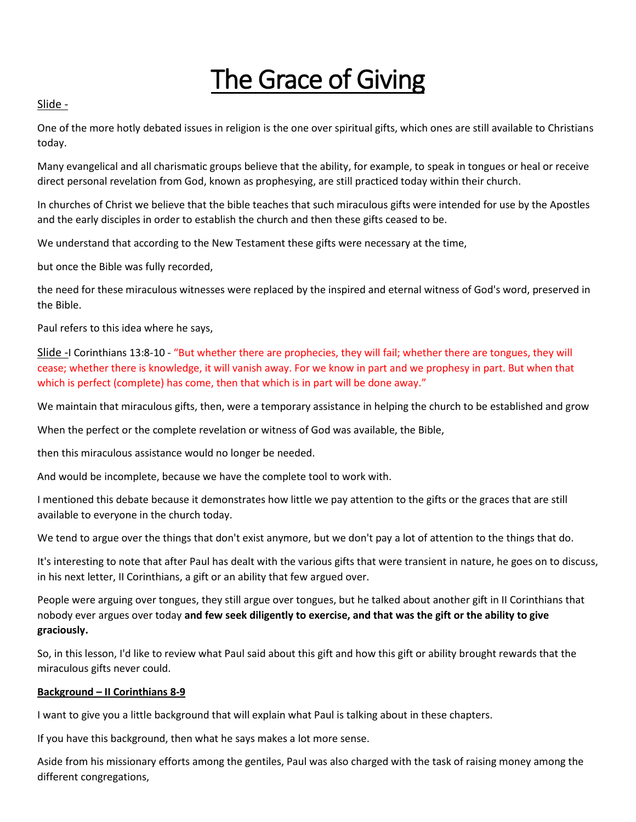# The Grace of Giving

## Slide -

One of the more hotly debated issues in religion is the one over spiritual gifts, which ones are still available to Christians today.

Many evangelical and all charismatic groups believe that the ability, for example, to speak in tongues or heal or receive direct personal revelation from God, known as prophesying, are still practiced today within their church.

In churches of Christ we believe that the bible teaches that such miraculous gifts were intended for use by the Apostles and the early disciples in order to establish the church and then these gifts ceased to be.

We understand that according to the New Testament these gifts were necessary at the time,

but once the Bible was fully recorded,

the need for these miraculous witnesses were replaced by the inspired and eternal witness of God's word, preserved in the Bible.

Paul refers to this idea where he says,

Slide -I Corinthians 13:8-10 - "But whether there are prophecies, they will fail; whether there are tongues, they will cease; whether there is knowledge, it will vanish away. For we know in part and we prophesy in part. But when that which is perfect (complete) has come, then that which is in part will be done away."

We maintain that miraculous gifts, then, were a temporary assistance in helping the church to be established and grow

When the perfect or the complete revelation or witness of God was available, the Bible,

then this miraculous assistance would no longer be needed.

And would be incomplete, because we have the complete tool to work with.

I mentioned this debate because it demonstrates how little we pay attention to the gifts or the graces that are still available to everyone in the church today.

We tend to argue over the things that don't exist anymore, but we don't pay a lot of attention to the things that do.

It's interesting to note that after Paul has dealt with the various gifts that were transient in nature, he goes on to discuss, in his next letter, II Corinthians, a gift or an ability that few argued over.

People were arguing over tongues, they still argue over tongues, but he talked about another gift in II Corinthians that nobody ever argues over today **and few seek diligently to exercise, and that was the gift or the ability to give graciously.**

So, in this lesson, I'd like to review what Paul said about this gift and how this gift or ability brought rewards that the miraculous gifts never could.

## **Background – II Corinthians 8-9**

I want to give you a little background that will explain what Paul is talking about in these chapters.

If you have this background, then what he says makes a lot more sense.

Aside from his missionary efforts among the gentiles, Paul was also charged with the task of raising money among the different congregations,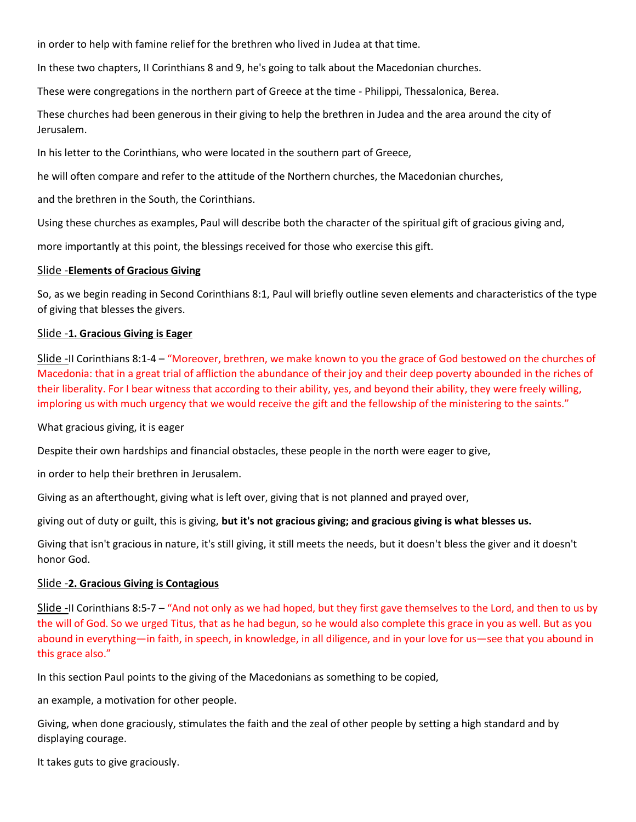in order to help with famine relief for the brethren who lived in Judea at that time.

In these two chapters, II Corinthians 8 and 9, he's going to talk about the Macedonian churches.

These were congregations in the northern part of Greece at the time - Philippi, Thessalonica, Berea.

These churches had been generous in their giving to help the brethren in Judea and the area around the city of Jerusalem.

In his letter to the Corinthians, who were located in the southern part of Greece,

he will often compare and refer to the attitude of the Northern churches, the Macedonian churches,

and the brethren in the South, the Corinthians.

Using these churches as examples, Paul will describe both the character of the spiritual gift of gracious giving and,

more importantly at this point, the blessings received for those who exercise this gift.

#### Slide -**Elements of Gracious Giving**

So, as we begin reading in Second Corinthians 8:1, Paul will briefly outline seven elements and characteristics of the type of giving that blesses the givers.

#### Slide -**1. Gracious Giving is Eager**

Slide -II Corinthians 8:1-4 – "Moreover, brethren, we make known to you the grace of God bestowed on the churches of Macedonia: that in a great trial of affliction the abundance of their joy and their deep poverty abounded in the riches of their liberality. For I bear witness that according to their ability, yes, and beyond their ability, they were freely willing, imploring us with much urgency that we would receive the gift and the fellowship of the ministering to the saints."

What gracious giving, it is eager

Despite their own hardships and financial obstacles, these people in the north were eager to give,

in order to help their brethren in Jerusalem.

Giving as an afterthought, giving what is left over, giving that is not planned and prayed over,

giving out of duty or guilt, this is giving, **but it's not gracious giving; and gracious giving is what blesses us.**

Giving that isn't gracious in nature, it's still giving, it still meets the needs, but it doesn't bless the giver and it doesn't honor God.

#### Slide -**2. Gracious Giving is Contagious**

Slide -II Corinthians 8:5-7 – "And not only as we had hoped, but they first gave themselves to the Lord, and then to us by the will of God. So we urged Titus, that as he had begun, so he would also complete this grace in you as well. But as you abound in everything—in faith, in speech, in knowledge, in all diligence, and in your love for us—see that you abound in this grace also."

In this section Paul points to the giving of the Macedonians as something to be copied,

an example, a motivation for other people.

Giving, when done graciously, stimulates the faith and the zeal of other people by setting a high standard and by displaying courage.

It takes guts to give graciously.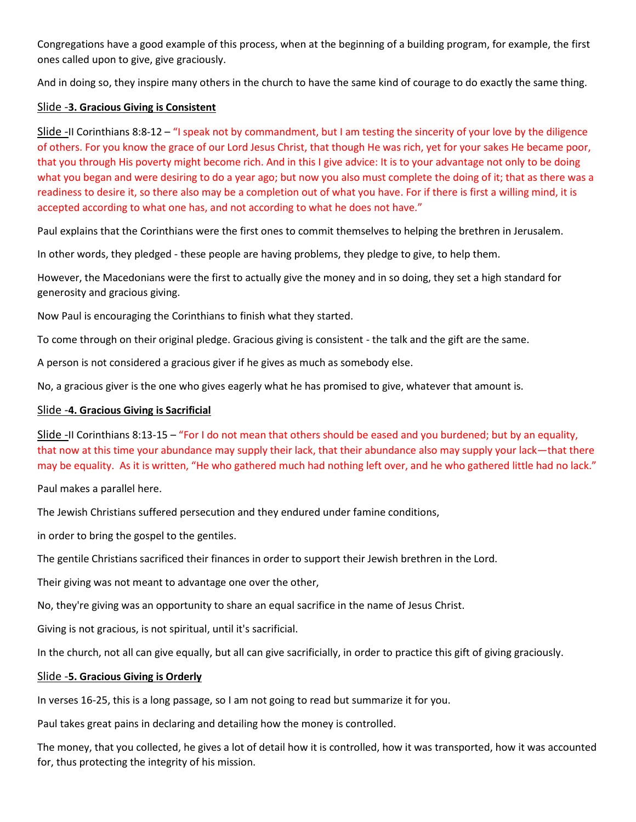Congregations have a good example of this process, when at the beginning of a building program, for example, the first ones called upon to give, give graciously.

And in doing so, they inspire many others in the church to have the same kind of courage to do exactly the same thing.

## Slide -**3. Gracious Giving is Consistent**

Slide -II Corinthians 8:8-12 – "I speak not by commandment, but I am testing the sincerity of your love by the diligence of others. For you know the grace of our Lord Jesus Christ, that though He was rich, yet for your sakes He became poor, that you through His poverty might become rich. And in this I give advice: It is to your advantage not only to be doing what you began and were desiring to do a year ago; but now you also must complete the doing of it; that as there was a readiness to desire it, so there also may be a completion out of what you have. For if there is first a willing mind, it is accepted according to what one has, and not according to what he does not have."

Paul explains that the Corinthians were the first ones to commit themselves to helping the brethren in Jerusalem.

In other words, they pledged - these people are having problems, they pledge to give, to help them.

However, the Macedonians were the first to actually give the money and in so doing, they set a high standard for generosity and gracious giving.

Now Paul is encouraging the Corinthians to finish what they started.

To come through on their original pledge. Gracious giving is consistent - the talk and the gift are the same.

A person is not considered a gracious giver if he gives as much as somebody else.

No, a gracious giver is the one who gives eagerly what he has promised to give, whatever that amount is.

# Slide -**4. Gracious Giving is Sacrificial**

Slide -II Corinthians 8:13-15 – "For I do not mean that others should be eased and you burdened; but by an equality, that now at this time your abundance may supply their lack, that their abundance also may supply your lack—that there may be equality. As it is written, "He who gathered much had nothing left over, and he who gathered little had no lack."

Paul makes a parallel here.

The Jewish Christians suffered persecution and they endured under famine conditions,

in order to bring the gospel to the gentiles.

The gentile Christians sacrificed their finances in order to support their Jewish brethren in the Lord.

Their giving was not meant to advantage one over the other,

No, they're giving was an opportunity to share an equal sacrifice in the name of Jesus Christ.

Giving is not gracious, is not spiritual, until it's sacrificial.

In the church, not all can give equally, but all can give sacrificially, in order to practice this gift of giving graciously.

## Slide -**5. Gracious Giving is Orderly**

In verses 16-25, this is a long passage, so I am not going to read but summarize it for you.

Paul takes great pains in declaring and detailing how the money is controlled.

The money, that you collected, he gives a lot of detail how it is controlled, how it was transported, how it was accounted for, thus protecting the integrity of his mission.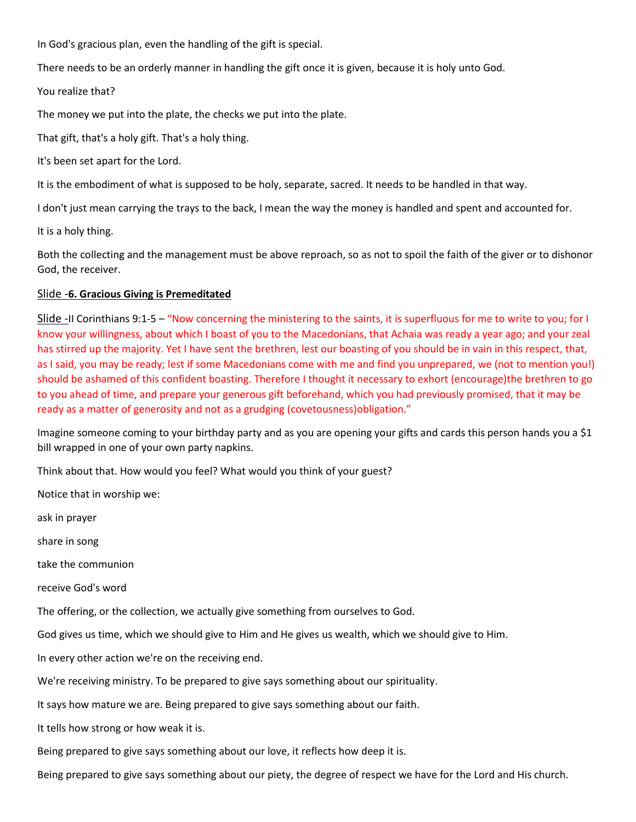In God's gracious plan, even the handling of the gift is special.

There needs to be an orderly manner in handling the gift once it is given, because it is holy unto God.

You realize that?

The money we put into the plate, the checks we put into the plate.

That gift, that's a holy gift. That's a holy thing.

It's been set apart for the Lord.

It is the embodiment of what is supposed to be holy, separate, sacred. It needs to be handled in that way.

I don't just mean carrying the trays to the back, I mean the way the money is handled and spent and accounted for.

It is a holy thing.

Both the collecting and the management must be above reproach, so as not to spoil the faith of the giver or to dishonor God, the receiver.

#### Slide -**6. Gracious Giving is Premeditated**

Slide -II Corinthians 9:1-5 – "Now concerning the ministering to the saints, it is superfluous for me to write to you; for I know your willingness, about which I boast of you to the Macedonians, that Achaia was ready a year ago; and your zeal has stirred up the majority. Yet I have sent the brethren, lest our boasting of you should be in vain in this respect, that, as I said, you may be ready; lest if some Macedonians come with me and find you unprepared, we (not to mention you!) should be ashamed of this confident boasting. Therefore I thought it necessary to exhort (encourage)the brethren to go to you ahead of time, and prepare your generous gift beforehand, which you had previously promised, that it may be ready as a matter of generosity and not as a grudging (covetousness)obligation."

Imagine someone coming to your birthday party and as you are opening your gifts and cards this person hands you a \$1 bill wrapped in one of your own party napkins.

Think about that. How would you feel? What would you think of your guest?

Notice that in worship we:

ask in prayer

share in song

take the communion

receive God's word

The offering, or the collection, we actually give something from ourselves to God.

God gives us time, which we should give to Him and He gives us wealth, which we should give to Him.

In every other action we're on the receiving end.

We're receiving ministry. To be prepared to give says something about our spirituality.

It says how mature we are. Being prepared to give says something about our faith.

It tells how strong or how weak it is.

Being prepared to give says something about our love, it reflects how deep it is.

Being prepared to give says something about our piety, the degree of respect we have for the Lord and His church.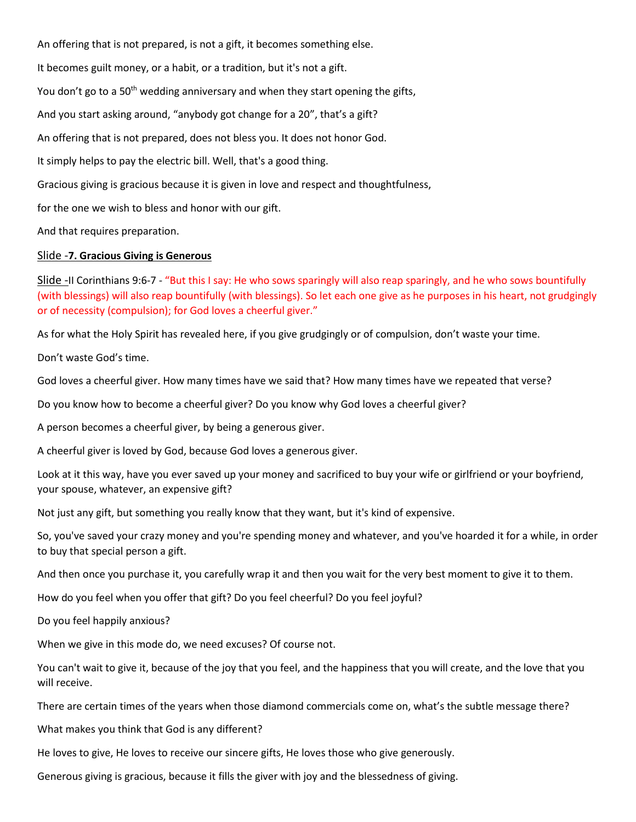An offering that is not prepared, is not a gift, it becomes something else. It becomes guilt money, or a habit, or a tradition, but it's not a gift. You don't go to a 50<sup>th</sup> wedding anniversary and when they start opening the gifts, And you start asking around, "anybody got change for a 20", that's a gift? An offering that is not prepared, does not bless you. It does not honor God. It simply helps to pay the electric bill. Well, that's a good thing. Gracious giving is gracious because it is given in love and respect and thoughtfulness, for the one we wish to bless and honor with our gift. And that requires preparation.

## Slide -**7. Gracious Giving is Generous**

Slide -II Corinthians 9:6-7 - "But this I say: He who sows sparingly will also reap sparingly, and he who sows bountifully (with blessings) will also reap bountifully (with blessings). So let each one give as he purposes in his heart, not grudgingly or of necessity (compulsion); for God loves a cheerful giver."

As for what the Holy Spirit has revealed here, if you give grudgingly or of compulsion, don't waste your time.

Don't waste God's time.

God loves a cheerful giver. How many times have we said that? How many times have we repeated that verse?

Do you know how to become a cheerful giver? Do you know why God loves a cheerful giver?

A person becomes a cheerful giver, by being a generous giver.

A cheerful giver is loved by God, because God loves a generous giver.

Look at it this way, have you ever saved up your money and sacrificed to buy your wife or girlfriend or your boyfriend, your spouse, whatever, an expensive gift?

Not just any gift, but something you really know that they want, but it's kind of expensive.

So, you've saved your crazy money and you're spending money and whatever, and you've hoarded it for a while, in order to buy that special person a gift.

And then once you purchase it, you carefully wrap it and then you wait for the very best moment to give it to them.

How do you feel when you offer that gift? Do you feel cheerful? Do you feel joyful?

Do you feel happily anxious?

When we give in this mode do, we need excuses? Of course not.

You can't wait to give it, because of the joy that you feel, and the happiness that you will create, and the love that you will receive.

There are certain times of the years when those diamond commercials come on, what's the subtle message there?

What makes you think that God is any different?

He loves to give, He loves to receive our sincere gifts, He loves those who give generously.

Generous giving is gracious, because it fills the giver with joy and the blessedness of giving.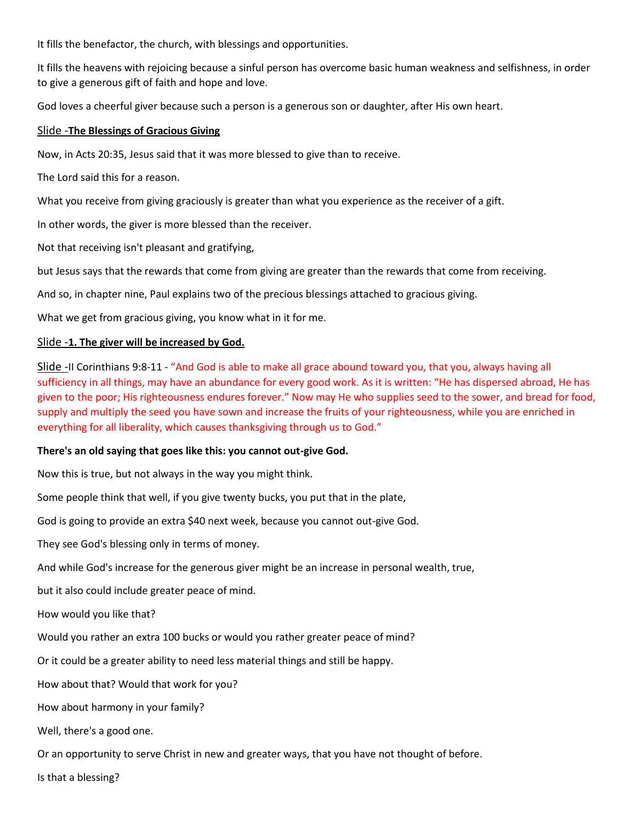It fills the benefactor, the church, with blessings and opportunities.

It fills the heavens with rejoicing because a sinful person has overcome basic human weakness and selfishness, in order to give a generous gift of faith and hope and love.

God loves a cheerful giver because such a person is a generous son or daughter, after His own heart.

#### Slide -**The Blessings of Gracious Giving**

Now, in Acts 20:35, Jesus said that it was more blessed to give than to receive.

The Lord said this for a reason.

What you receive from giving graciously is greater than what you experience as the receiver of a gift.

In other words, the giver is more blessed than the receiver.

Not that receiving isn't pleasant and gratifying,

but Jesus says that the rewards that come from giving are greater than the rewards that come from receiving.

And so, in chapter nine, Paul explains two of the precious blessings attached to gracious giving.

What we get from gracious giving, you know what in it for me.

#### Slide -**1. The giver will be increased by God.**

Slide -II Corinthians 9:8-11 - "And God is able to make all grace abound toward you, that you, always having all sufficiency in all things, may have an abundance for every good work. As it is written: "He has dispersed abroad, He has given to the poor; His righteousness endures forever." Now may He who supplies seed to the sower, and bread for food, supply and multiply the seed you have sown and increase the fruits of your righteousness, while you are enriched in everything for all liberality, which causes thanksgiving through us to God."

#### **There's an old saying that goes like this: you cannot out-give God.**

Now this is true, but not always in the way you might think.

Some people think that well, if you give twenty bucks, you put that in the plate,

God is going to provide an extra \$40 next week, because you cannot out-give God.

They see God's blessing only in terms of money.

And while God's increase for the generous giver might be an increase in personal wealth, true,

but it also could include greater peace of mind.

How would you like that?

Would you rather an extra 100 bucks or would you rather greater peace of mind?

Or it could be a greater ability to need less material things and still be happy.

How about that? Would that work for you?

How about harmony in your family?

Well, there's a good one.

Or an opportunity to serve Christ in new and greater ways, that you have not thought of before.

Is that a blessing?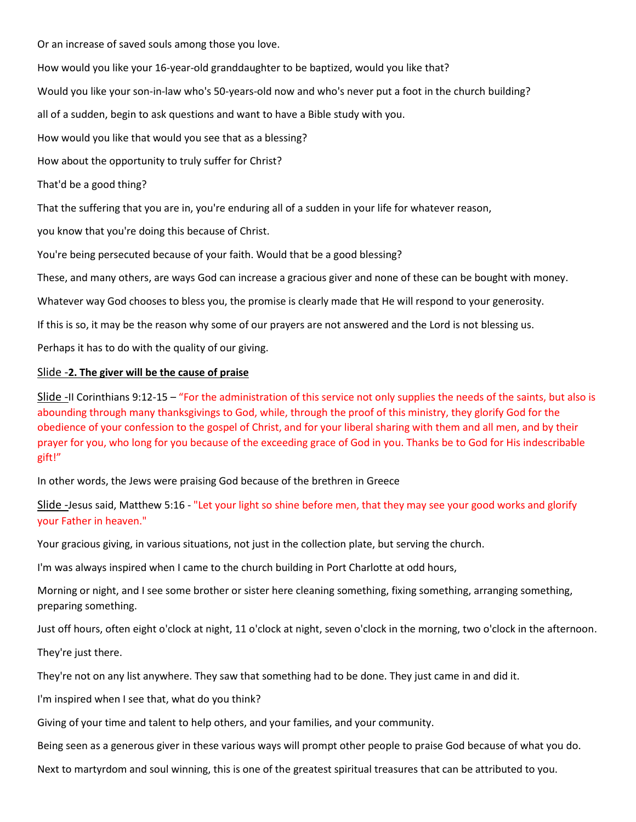Or an increase of saved souls among those you love.

How would you like your 16-year-old granddaughter to be baptized, would you like that?

Would you like your son-in-law who's 50-years-old now and who's never put a foot in the church building?

all of a sudden, begin to ask questions and want to have a Bible study with you.

How would you like that would you see that as a blessing?

How about the opportunity to truly suffer for Christ?

That'd be a good thing?

That the suffering that you are in, you're enduring all of a sudden in your life for whatever reason,

you know that you're doing this because of Christ.

You're being persecuted because of your faith. Would that be a good blessing?

These, and many others, are ways God can increase a gracious giver and none of these can be bought with money.

Whatever way God chooses to bless you, the promise is clearly made that He will respond to your generosity.

If this is so, it may be the reason why some of our prayers are not answered and the Lord is not blessing us.

Perhaps it has to do with the quality of our giving.

## Slide -**2. The giver will be the cause of praise**

Slide -II Corinthians 9:12-15 – "For the administration of this service not only supplies the needs of the saints, but also is abounding through many thanksgivings to God, while, through the proof of this ministry, they glorify God for the obedience of your confession to the gospel of Christ, and for your liberal sharing with them and all men, and by their prayer for you, who long for you because of the exceeding grace of God in you. Thanks be to God for His indescribable gift!"

In other words, the Jews were praising God because of the brethren in Greece

Slide -Jesus said, Matthew 5:16 - "Let your light so shine before men, that they may see your good works and glorify your Father in heaven."

Your gracious giving, in various situations, not just in the collection plate, but serving the church.

I'm was always inspired when I came to the church building in Port Charlotte at odd hours,

Morning or night, and I see some brother or sister here cleaning something, fixing something, arranging something, preparing something.

Just off hours, often eight o'clock at night, 11 o'clock at night, seven o'clock in the morning, two o'clock in the afternoon.

They're just there.

They're not on any list anywhere. They saw that something had to be done. They just came in and did it.

I'm inspired when I see that, what do you think?

Giving of your time and talent to help others, and your families, and your community.

Being seen as a generous giver in these various ways will prompt other people to praise God because of what you do.

Next to martyrdom and soul winning, this is one of the greatest spiritual treasures that can be attributed to you.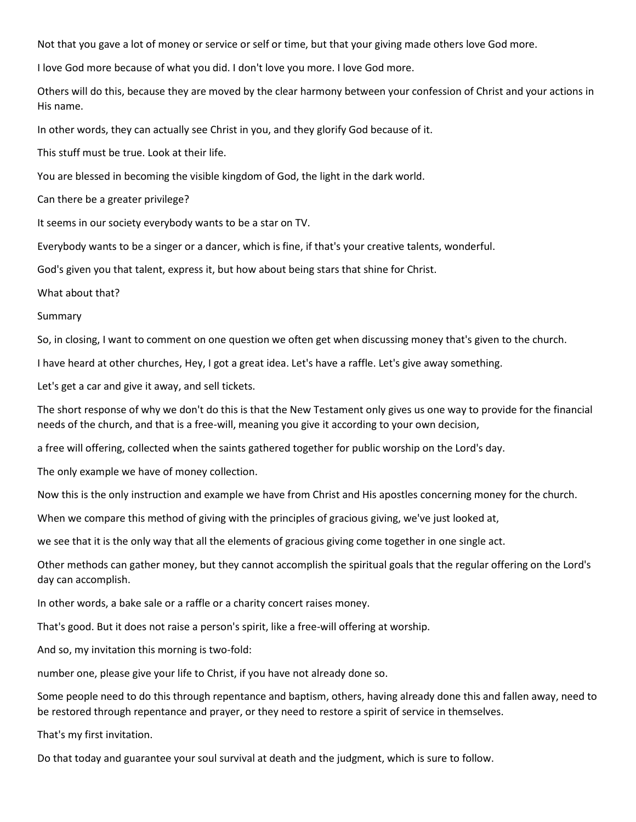Not that you gave a lot of money or service or self or time, but that your giving made others love God more.

I love God more because of what you did. I don't love you more. I love God more.

Others will do this, because they are moved by the clear harmony between your confession of Christ and your actions in His name.

In other words, they can actually see Christ in you, and they glorify God because of it.

This stuff must be true. Look at their life.

You are blessed in becoming the visible kingdom of God, the light in the dark world.

Can there be a greater privilege?

It seems in our society everybody wants to be a star on TV.

Everybody wants to be a singer or a dancer, which is fine, if that's your creative talents, wonderful.

God's given you that talent, express it, but how about being stars that shine for Christ.

What about that?

Summary

So, in closing, I want to comment on one question we often get when discussing money that's given to the church.

I have heard at other churches, Hey, I got a great idea. Let's have a raffle. Let's give away something.

Let's get a car and give it away, and sell tickets.

The short response of why we don't do this is that the New Testament only gives us one way to provide for the financial needs of the church, and that is a free-will, meaning you give it according to your own decision,

a free will offering, collected when the saints gathered together for public worship on the Lord's day.

The only example we have of money collection.

Now this is the only instruction and example we have from Christ and His apostles concerning money for the church.

When we compare this method of giving with the principles of gracious giving, we've just looked at,

we see that it is the only way that all the elements of gracious giving come together in one single act.

Other methods can gather money, but they cannot accomplish the spiritual goals that the regular offering on the Lord's day can accomplish.

In other words, a bake sale or a raffle or a charity concert raises money.

That's good. But it does not raise a person's spirit, like a free-will offering at worship.

And so, my invitation this morning is two-fold:

number one, please give your life to Christ, if you have not already done so.

Some people need to do this through repentance and baptism, others, having already done this and fallen away, need to be restored through repentance and prayer, or they need to restore a spirit of service in themselves.

That's my first invitation.

Do that today and guarantee your soul survival at death and the judgment, which is sure to follow.